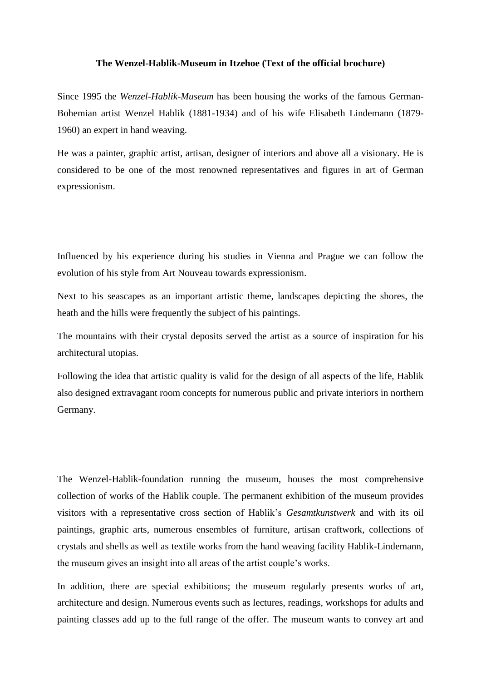## **The Wenzel-Hablik-Museum in Itzehoe (Text of the official brochure)**

Since 1995 the *Wenzel-Hablik-Museum* has been housing the works of the famous German-Bohemian artist Wenzel Hablik (1881-1934) and of his wife Elisabeth Lindemann (1879- 1960) an expert in hand weaving.

He was a painter, graphic artist, artisan, designer of interiors and above all a visionary. He is considered to be one of the most renowned representatives and figures in art of German expressionism.

Influenced by his experience during his studies in Vienna and Prague we can follow the evolution of his style from Art Nouveau towards expressionism.

Next to his seascapes as an important artistic theme, landscapes depicting the shores, the heath and the hills were frequently the subject of his paintings.

The mountains with their crystal deposits served the artist as a source of inspiration for his architectural utopias.

Following the idea that artistic quality is valid for the design of all aspects of the life, Hablik also designed extravagant room concepts for numerous public and private interiors in northern Germany.

The Wenzel-Hablik-foundation running the museum, houses the most comprehensive collection of works of the Hablik couple. The permanent exhibition of the museum provides visitors with a representative cross section of Hablik's *Gesamtkunstwerk* and with its oil paintings, graphic arts, numerous ensembles of furniture, artisan craftwork, collections of crystals and shells as well as textile works from the hand weaving facility Hablik-Lindemann, the museum gives an insight into all areas of the artist couple's works.

In addition, there are special exhibitions; the museum regularly presents works of art, architecture and design. Numerous events such as lectures, readings, workshops for adults and painting classes add up to the full range of the offer. The museum wants to convey art and